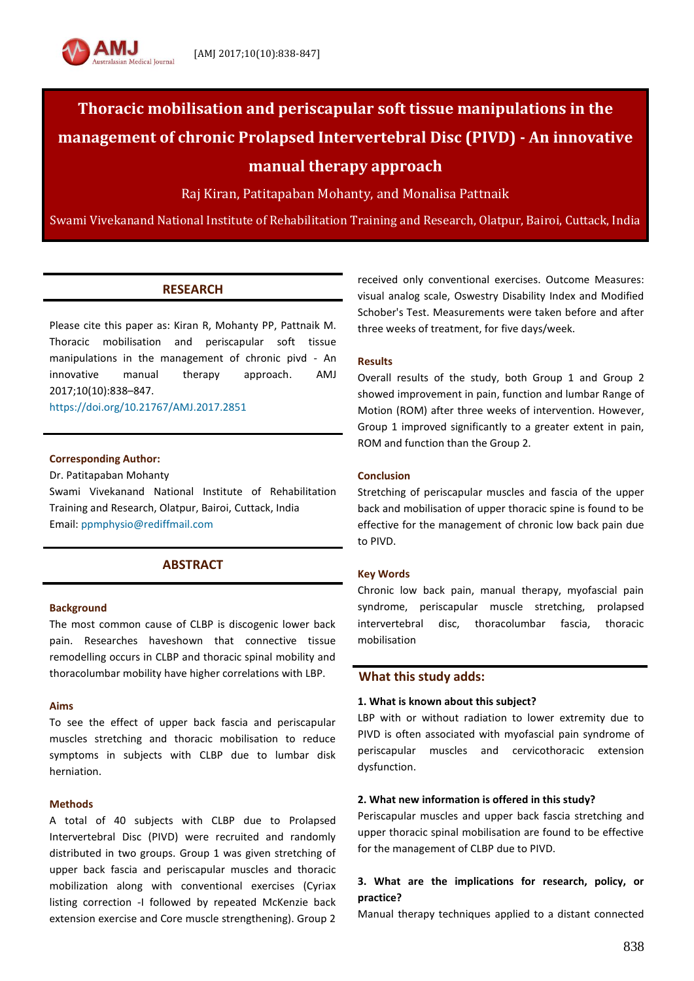

Raj Kiran, Patitapaban Mohanty, and Monalisa Pattnaik

Swami Vivekanand National Institute of Rehabilitation Training and Research, Olatpur, Bairoi, Cuttack, India

## **RESEARCH**

Please cite this paper as: Kiran R, Mohanty PP, Pattnaik M. Thoracic mobilisation and periscapular soft tissue manipulations in the management of chronic pivd - An innovative manual therapy approach. AMJ 2017;10(10):838–847.

<https://doi.org/10.21767/AMJ.2017.2851>

#### **Corresponding Author:**

Dr. Patitapaban Mohanty

Swami Vivekanand National Institute of Rehabilitation Training and Research, Olatpur, Bairoi, Cuttack, India Email: [ppmphysio@rediffmail.com](mailto:ppmphysio@rediffmail.com)

## **ABSTRACT**

#### **Background**

The most common cause of CLBP is discogenic lower back pain. Researches haveshown that connective tissue remodelling occurs in CLBP and thoracic spinal mobility and thoracolumbar mobility have higher correlations with LBP.

#### **Aims**

To see the effect of upper back fascia and periscapular muscles stretching and thoracic mobilisation to reduce symptoms in subjects with CLBP due to lumbar disk herniation.

#### **Methods**

A total of 40 subjects with CLBP due to Prolapsed Intervertebral Disc (PIVD) were recruited and randomly distributed in two groups. Group 1 was given stretching of upper back fascia and periscapular muscles and thoracic mobilization along with conventional exercises (Cyriax listing correction -I followed by repeated McKenzie back extension exercise and Core muscle strengthening). Group 2

received only conventional exercises. Outcome Measures: visual analog scale, Oswestry Disability Index and Modified Schober's Test. Measurements were taken before and after three weeks of treatment, for five days/week.

## **Results**

Overall results of the study, both Group 1 and Group 2 showed improvement in pain, function and lumbar Range of Motion (ROM) after three weeks of intervention. However, Group 1 improved significantly to a greater extent in pain, ROM and function than the Group 2.

### **Conclusion**

Stretching of periscapular muscles and fascia of the upper back and mobilisation of upper thoracic spine is found to be effective for the management of chronic low back pain due to PIVD.

#### **Key Words**

Chronic low back pain, manual therapy, myofascial pain syndrome, periscapular muscle stretching, prolapsed intervertebral disc, thoracolumbar fascia, thoracic mobilisation

## **What this study adds:**

#### **1. What is known about this subject?**

LBP with or without radiation to lower extremity due to PIVD is often associated with myofascial pain syndrome of periscapular muscles and cervicothoracic extension dysfunction.

#### **2. What new information is offered in this study?**

Periscapular muscles and upper back fascia stretching and upper thoracic spinal mobilisation are found to be effective for the management of CLBP due to PIVD.

## **3. What are the implications for research, policy, or practice?**

Manual therapy techniques applied to a distant connected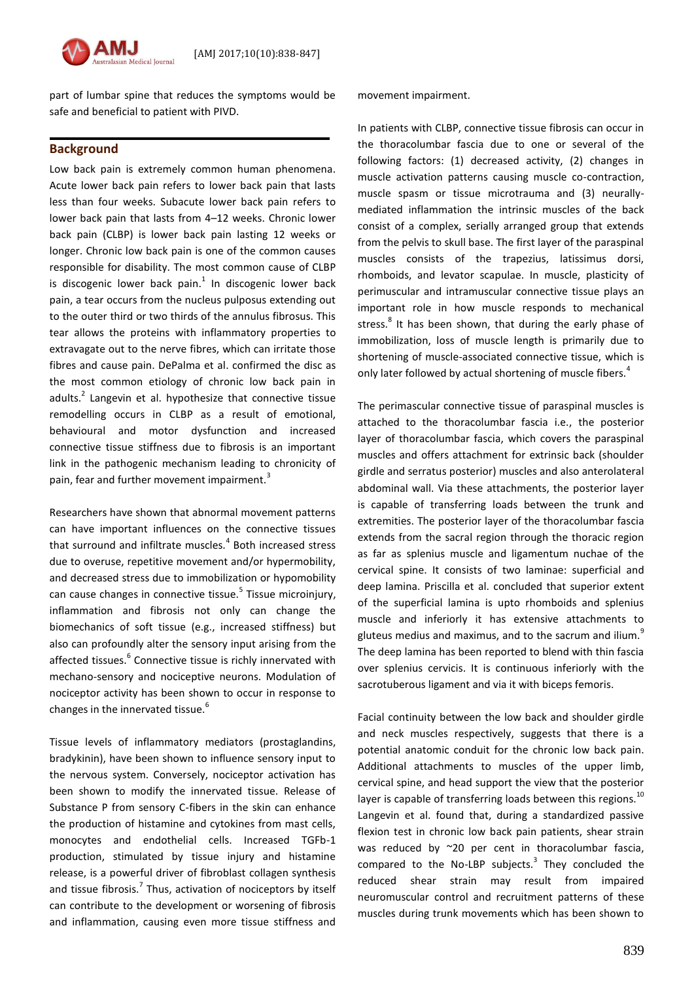

part of lumbar spine that reduces the symptoms would be safe and beneficial to patient with PIVD.

## **Background**

Low back pain is extremely common human phenomena. Acute lower back pain refers to lower back pain that lasts less than four weeks. Subacute lower back pain refers to lower back pain that lasts from 4–12 weeks. Chronic lower back pain (CLBP) is lower back pain lasting 12 weeks or longer. Chronic low back pain is one of the common causes responsible for disability. The most common cause of CLBP is discogenic lower back pain. $1$  In discogenic lower back pain, a tear occurs from the nucleus pulposus extending out to the outer third or two thirds of the annulus fibrosus. This tear allows the proteins with inflammatory properties to extravagate out to the nerve fibres, which can irritate those fibres and cause pain. DePalma et al. confirmed the disc as the most common etiology of chronic low back pain in adults.<sup>2</sup> Langevin et al. hypothesize that connective tissue remodelling occurs in CLBP as a result of emotional, behavioural and motor dysfunction and increased connective tissue stiffness due to fibrosis is an important link in the pathogenic mechanism leading to chronicity of pain, fear and further movement impairment.<sup>3</sup>

Researchers have shown that abnormal movement patterns can have important influences on the connective tissues that surround and infiltrate muscles. $^{4}$  Both increased stress due to overuse, repetitive movement and/or hypermobility, and decreased stress due to immobilization or hypomobility can cause changes in connective tissue.<sup>5</sup> Tissue microinjury, inflammation and fibrosis not only can change the biomechanics of soft tissue (e.g., increased stiffness) but also can profoundly alter the sensory input arising from the affected tissues.<sup>6</sup> Connective tissue is richly innervated with mechano-sensory and nociceptive neurons. Modulation of nociceptor activity has been shown to occur in response to changes in the innervated tissue.<sup>6</sup>

Tissue levels of inflammatory mediators (prostaglandins, bradykinin), have been shown to influence sensory input to the nervous system. Conversely, nociceptor activation has been shown to modify the innervated tissue. Release of Substance P from sensory C-fibers in the skin can enhance the production of histamine and cytokines from mast cells, monocytes and endothelial cells. Increased TGFb-1 production, stimulated by tissue injury and histamine release, is a powerful driver of fibroblast collagen synthesis and tissue fibrosis.<sup>7</sup> Thus, activation of nociceptors by itself can contribute to the development or worsening of fibrosis and inflammation, causing even more tissue stiffness and movement impairment.

In patients with CLBP, connective tissue fibrosis can occur in the thoracolumbar fascia due to one or several of the following factors: (1) decreased activity, (2) changes in muscle activation patterns causing muscle co-contraction, muscle spasm or tissue microtrauma and (3) neurallymediated inflammation the intrinsic muscles of the back consist of a complex, serially arranged group that extends from the pelvis to skull base. The first layer of the paraspinal muscles consists of the trapezius, latissimus dorsi, rhomboids, and levator scapulae. In muscle, plasticity of perimuscular and intramuscular connective tissue plays an important role in how muscle responds to mechanical stress.<sup>8</sup> It has been shown, that during the early phase of immobilization, loss of muscle length is primarily due to shortening of muscle-associated connective tissue, which is only later followed by actual shortening of muscle fibers.<sup>4</sup>

The perimascular connective tissue of paraspinal muscles is attached to the thoracolumbar fascia i.e., the posterior layer of thoracolumbar fascia, which covers the paraspinal muscles and offers attachment for extrinsic back (shoulder girdle and serratus posterior) muscles and also anterolateral abdominal wall. Via these attachments, the posterior layer is capable of transferring loads between the trunk and extremities. The posterior layer of the thoracolumbar fascia extends from the sacral region through the thoracic region as far as splenius muscle and ligamentum nuchae of the cervical spine. It consists of two laminae: superficial and deep lamina. Priscilla et al. concluded that superior extent of the superficial lamina is upto rhomboids and splenius muscle and inferiorly it has extensive attachments to gluteus medius and maximus, and to the sacrum and ilium.<sup>9</sup> The deep lamina has been reported to blend with thin fascia over splenius cervicis. It is continuous inferiorly with the sacrotuberous ligament and via it with biceps femoris.

Facial continuity between the low back and shoulder girdle and neck muscles respectively, suggests that there is a potential anatomic conduit for the chronic low back pain. Additional attachments to muscles of the upper limb, cervical spine, and head support the view that the posterior layer is capable of transferring loads between this regions. $^{10}$ Langevin et al. found that, during a standardized passive flexion test in chronic low back pain patients, shear strain was reduced by ~20 per cent in thoracolumbar fascia, compared to the No-LBP subjects. $3$  They concluded the reduced shear strain may result from impaired neuromuscular control and recruitment patterns of these muscles during trunk movements which has been shown to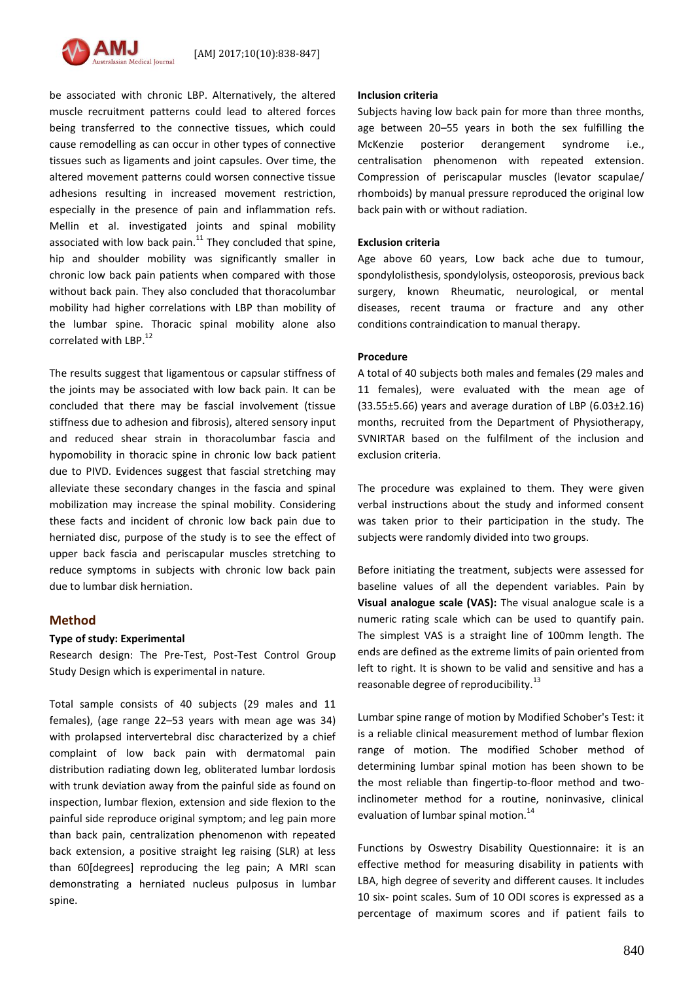

be associated with chronic LBP. Alternatively, the altered muscle recruitment patterns could lead to altered forces being transferred to the connective tissues, which could cause remodelling as can occur in other types of connective tissues such as ligaments and joint capsules. Over time, the altered movement patterns could worsen connective tissue adhesions resulting in increased movement restriction, especially in the presence of pain and inflammation refs. Mellin et al. investigated joints and spinal mobility associated with low back pain. $^{11}$  They concluded that spine, hip and shoulder mobility was significantly smaller in chronic low back pain patients when compared with those without back pain. They also concluded that thoracolumbar mobility had higher correlations with LBP than mobility of the lumbar spine. Thoracic spinal mobility alone also correlated with LBP.<sup>12</sup>

The results suggest that ligamentous or capsular stiffness of the joints may be associated with low back pain. It can be concluded that there may be fascial involvement (tissue stiffness due to adhesion and fibrosis), altered sensory input and reduced shear strain in thoracolumbar fascia and hypomobility in thoracic spine in chronic low back patient due to PIVD. Evidences suggest that fascial stretching may alleviate these secondary changes in the fascia and spinal mobilization may increase the spinal mobility. Considering these facts and incident of chronic low back pain due to herniated disc, purpose of the study is to see the effect of upper back fascia and periscapular muscles stretching to reduce symptoms in subjects with chronic low back pain due to lumbar disk herniation.

## **Method**

## **Type of study: Experimental**

Research design: The Pre-Test, Post-Test Control Group Study Design which is experimental in nature.

Total sample consists of 40 subjects (29 males and 11 females), (age range 22–53 years with mean age was 34) with prolapsed intervertebral disc characterized by a chief complaint of low back pain with dermatomal pain distribution radiating down leg, obliterated lumbar lordosis with trunk deviation away from the painful side as found on inspection, lumbar flexion, extension and side flexion to the painful side reproduce original symptom; and leg pain more than back pain, centralization phenomenon with repeated back extension, a positive straight leg raising (SLR) at less than 60[degrees] reproducing the leg pain; A MRI scan demonstrating a herniated nucleus pulposus in lumbar spine.

#### **Inclusion criteria**

Subjects having low back pain for more than three months, age between 20–55 years in both the sex fulfilling the McKenzie posterior derangement syndrome i.e., centralisation phenomenon with repeated extension. Compression of periscapular muscles (levator scapulae/ rhomboids) by manual pressure reproduced the original low back pain with or without radiation.

#### **Exclusion criteria**

Age above 60 years, Low back ache due to tumour, spondylolisthesis, spondylolysis, osteoporosis, previous back surgery, known Rheumatic, neurological, or mental diseases, recent trauma or fracture and any other conditions contraindication to manual therapy.

### **Procedure**

A total of 40 subjects both males and females (29 males and 11 females), were evaluated with the mean age of  $(33.55\pm5.66)$  years and average duration of LBP  $(6.03\pm2.16)$ months, recruited from the Department of Physiotherapy, SVNIRTAR based on the fulfilment of the inclusion and exclusion criteria.

The procedure was explained to them. They were given verbal instructions about the study and informed consent was taken prior to their participation in the study. The subjects were randomly divided into two groups.

Before initiating the treatment, subjects were assessed for baseline values of all the dependent variables. Pain by **Visual analogue scale (VAS):** The visual analogue scale is a numeric rating scale which can be used to quantify pain. The simplest VAS is a straight line of 100mm length. The ends are defined as the extreme limits of pain oriented from left to right. It is shown to be valid and sensitive and has a reasonable degree of reproducibility.<sup>13</sup>

Lumbar spine range of motion by Modified Schober's Test: it is a reliable clinical measurement method of lumbar flexion range of motion. The modified Schober method of determining lumbar spinal motion has been shown to be the most reliable than fingertip-to-floor method and twoinclinometer method for a routine, noninvasive, clinical evaluation of lumbar spinal motion.<sup>14</sup>

Functions by Oswestry Disability Questionnaire: it is an effective method for measuring disability in patients with LBA, high degree of severity and different causes. It includes 10 six- point scales. Sum of 10 ODI scores is expressed as a percentage of maximum scores and if patient fails to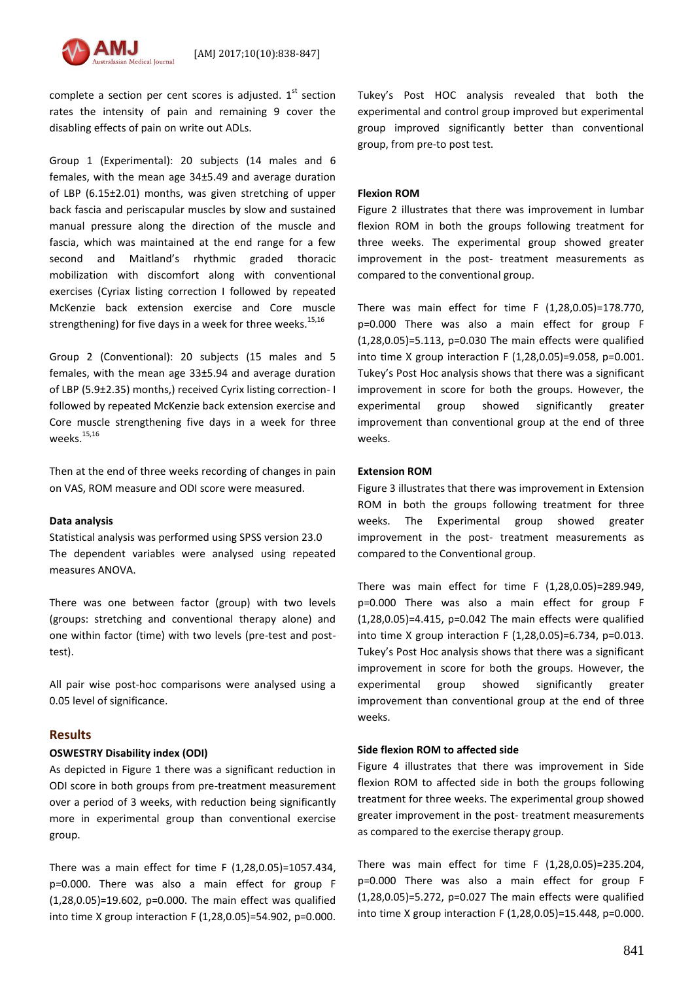

complete a section per cent scores is adjusted.  $1<sup>st</sup>$  section rates the intensity of pain and remaining 9 cover the disabling effects of pain on write out ADLs.

Group 1 (Experimental): 20 subjects (14 males and 6 females, with the mean age 34±5.49 and average duration of LBP (6.15±2.01) months, was given stretching of upper back fascia and periscapular muscles by slow and sustained manual pressure along the direction of the muscle and fascia, which was maintained at the end range for a few second and Maitland's rhythmic graded thoracic mobilization with discomfort along with conventional exercises (Cyriax listing correction I followed by repeated McKenzie back extension exercise and Core muscle strengthening) for five days in a week for three weeks.<sup>15,16</sup>

Group 2 (Conventional): 20 subjects (15 males and 5 females, with the mean age 33±5.94 and average duration of LBP (5.9±2.35) months,) received Cyrix listing correction- I followed by repeated McKenzie back extension exercise and Core muscle strengthening five days in a week for three weeks. 15,16

Then at the end of three weeks recording of changes in pain on VAS, ROM measure and ODI score were measured.

## **Data analysis**

Statistical analysis was performed using SPSS version 23.0 The dependent variables were analysed using repeated measures ANOVA.

There was one between factor (group) with two levels (groups: stretching and conventional therapy alone) and one within factor (time) with two levels (pre-test and posttest).

All pair wise post-hoc comparisons were analysed using a 0.05 level of significance.

## **Results**

## **OSWESTRY Disability index (ODI)**

As depicted in Figure 1 there was a significant reduction in ODI score in both groups from pre-treatment measurement over a period of 3 weeks, with reduction being significantly more in experimental group than conventional exercise group.

There was a main effect for time F (1,28,0.05)=1057.434, p=0.000. There was also a main effect for group F (1,28,0.05)=19.602, p=0.000. The main effect was qualified into time X group interaction F (1,28,0.05)=54.902, p=0.000. Tukey's Post HOC analysis revealed that both the experimental and control group improved but experimental group improved significantly better than conventional group, from pre-to post test.

## **Flexion ROM**

Figure 2 illustrates that there was improvement in lumbar flexion ROM in both the groups following treatment for three weeks. The experimental group showed greater improvement in the post- treatment measurements as compared to the conventional group.

There was main effect for time F (1,28,0.05)=178.770, p=0.000 There was also a main effect for group F (1,28,0.05)=5.113, p=0.030 The main effects were qualified into time X group interaction F (1,28,0.05)=9.058, p=0.001. Tukey's Post Hoc analysis shows that there was a significant improvement in score for both the groups. However, the experimental group showed significantly greater improvement than conventional group at the end of three weeks.

## **Extension ROM**

Figure 3 illustrates that there was improvement in Extension ROM in both the groups following treatment for three weeks. The Experimental group showed greater improvement in the post- treatment measurements as compared to the Conventional group.

There was main effect for time F (1,28,0.05)=289.949, p=0.000 There was also a main effect for group F (1,28,0.05)=4.415, p=0.042 The main effects were qualified into time X group interaction F (1,28,0.05)=6.734, p=0.013. Tukey's Post Hoc analysis shows that there was a significant improvement in score for both the groups. However, the experimental group showed significantly greater improvement than conventional group at the end of three weeks.

## **Side flexion ROM to affected side**

Figure 4 illustrates that there was improvement in Side flexion ROM to affected side in both the groups following treatment for three weeks. The experimental group showed greater improvement in the post- treatment measurements as compared to the exercise therapy group.

There was main effect for time F (1,28,0.05)=235.204, p=0.000 There was also a main effect for group F (1,28,0.05)=5.272, p=0.027 The main effects were qualified into time X group interaction F (1,28,0.05)=15.448, p=0.000.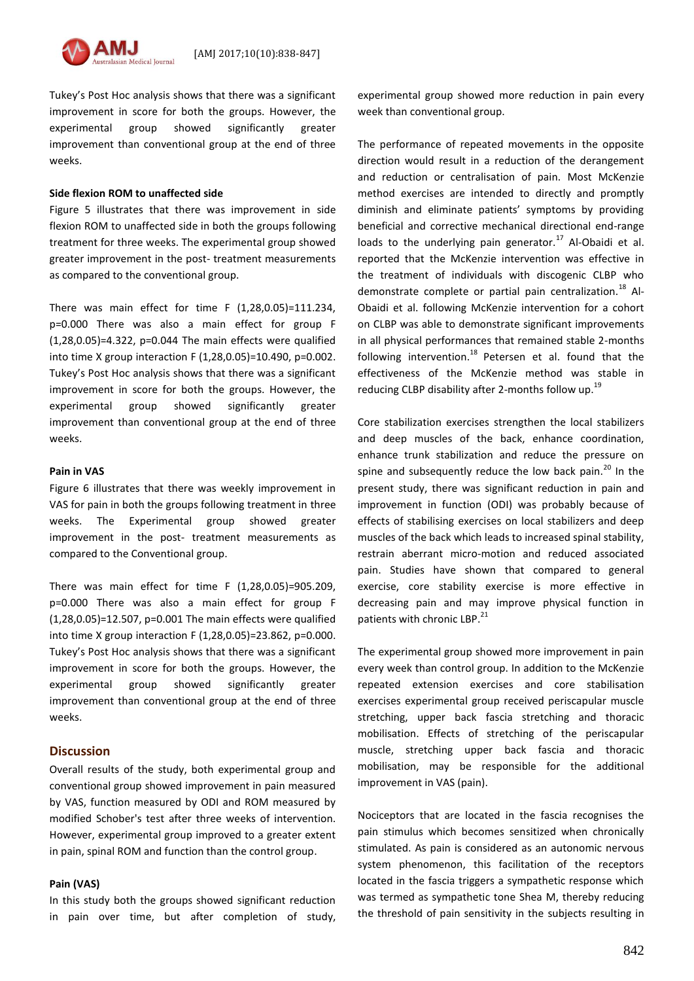

Tukey's Post Hoc analysis shows that there was a significant improvement in score for both the groups. However, the experimental group showed significantly greater improvement than conventional group at the end of three weeks.

#### **Side flexion ROM to unaffected side**

Figure 5 illustrates that there was improvement in side flexion ROM to unaffected side in both the groups following treatment for three weeks. The experimental group showed greater improvement in the post- treatment measurements as compared to the conventional group.

There was main effect for time F (1,28,0.05)=111.234, p=0.000 There was also a main effect for group F (1,28,0.05)=4.322, p=0.044 The main effects were qualified into time X group interaction F (1,28,0.05)=10.490, p=0.002. Tukey's Post Hoc analysis shows that there was a significant improvement in score for both the groups. However, the experimental group showed significantly greater improvement than conventional group at the end of three weeks.

#### **Pain in VAS**

Figure 6 illustrates that there was weekly improvement in VAS for pain in both the groups following treatment in three weeks. The Experimental group showed greater improvement in the post- treatment measurements as compared to the Conventional group.

There was main effect for time F (1,28,0.05)=905.209, p=0.000 There was also a main effect for group F (1,28,0.05)=12.507, p=0.001 The main effects were qualified into time X group interaction F (1,28,0.05)=23.862, p=0.000. Tukey's Post Hoc analysis shows that there was a significant improvement in score for both the groups. However, the experimental group showed significantly greater improvement than conventional group at the end of three weeks.

### **Discussion**

Overall results of the study, both experimental group and conventional group showed improvement in pain measured by VAS, function measured by ODI and ROM measured by modified Schober's test after three weeks of intervention. However, experimental group improved to a greater extent in pain, spinal ROM and function than the control group.

### **Pain (VAS)**

In this study both the groups showed significant reduction in pain over time, but after completion of study, experimental group showed more reduction in pain every week than conventional group.

The performance of repeated movements in the opposite direction would result in a reduction of the derangement and reduction or centralisation of pain. Most McKenzie method exercises are intended to directly and promptly diminish and eliminate patients' symptoms by providing beneficial and corrective mechanical directional end-range loads to the underlying pain generator.<sup>17</sup> Al-Obaidi et al. reported that the McKenzie intervention was effective in the treatment of individuals with discogenic CLBP who demonstrate complete or partial pain centralization.<sup>18</sup> Al-Obaidi et al. following McKenzie intervention for a cohort on CLBP was able to demonstrate significant improvements in all physical performances that remained stable 2-months following intervention.<sup>18</sup> Petersen et al. found that the effectiveness of the McKenzie method was stable in reducing CLBP disability after 2-months follow up.<sup>19</sup>

Core stabilization exercises strengthen the local stabilizers and deep muscles of the back, enhance coordination, enhance trunk stabilization and reduce the pressure on spine and subsequently reduce the low back pain. $^{20}$  In the present study, there was significant reduction in pain and improvement in function (ODI) was probably because of effects of stabilising exercises on local stabilizers and deep muscles of the back which leads to increased spinal stability, restrain aberrant micro-motion and reduced associated pain. Studies have shown that compared to general exercise, core stability exercise is more effective in decreasing pain and may improve physical function in patients with chronic LBP.<sup>21</sup>

The experimental group showed more improvement in pain every week than control group. In addition to the McKenzie repeated extension exercises and core stabilisation exercises experimental group received periscapular muscle stretching, upper back fascia stretching and thoracic mobilisation. Effects of stretching of the periscapular muscle, stretching upper back fascia and thoracic mobilisation, may be responsible for the additional improvement in VAS (pain).

Nociceptors that are located in the fascia recognises the pain stimulus which becomes sensitized when chronically stimulated. As pain is considered as an autonomic nervous system phenomenon, this facilitation of the receptors located in the fascia triggers a sympathetic response which was termed as sympathetic tone Shea M, thereby reducing the threshold of pain sensitivity in the subjects resulting in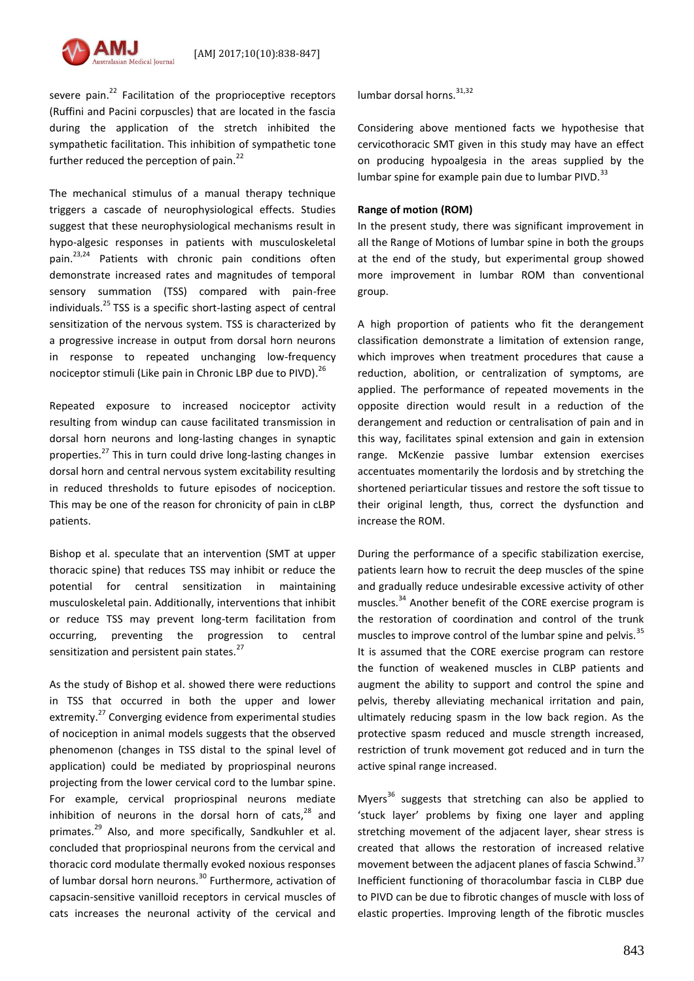

severe pain.<sup>22</sup> Facilitation of the proprioceptive receptors (Ruffini and Pacini corpuscles) that are located in the fascia during the application of the stretch inhibited the sympathetic facilitation. This inhibition of sympathetic tone further reduced the perception of pain. $^{22}$ 

The mechanical stimulus of a manual therapy technique triggers a cascade of neurophysiological effects. Studies suggest that these neurophysiological mechanisms result in hypo-algesic responses in patients with musculoskeletal pain.<sup>23,24</sup> Patients with chronic pain conditions often demonstrate increased rates and magnitudes of temporal sensory summation (TSS) compared with pain-free individuals. $^{25}$  TSS is a specific short-lasting aspect of central sensitization of the nervous system. TSS is characterized by a progressive increase in output from dorsal horn neurons in response to repeated unchanging low-frequency nociceptor stimuli (Like pain in Chronic LBP due to PIVD).<sup>26</sup>

Repeated exposure to increased nociceptor activity resulting from windup can cause facilitated transmission in dorsal horn neurons and long-lasting changes in synaptic properties.<sup>27</sup> This in turn could drive long-lasting changes in dorsal horn and central nervous system excitability resulting in reduced thresholds to future episodes of nociception. This may be one of the reason for chronicity of pain in cLBP patients.

Bishop et al. speculate that an intervention (SMT at upper thoracic spine) that reduces TSS may inhibit or reduce the potential for central sensitization in maintaining musculoskeletal pain. Additionally, interventions that inhibit or reduce TSS may prevent long-term facilitation from occurring, preventing the progression to central sensitization and persistent pain states.<sup>27</sup>

As the study of Bishop et al. showed there were reductions in TSS that occurred in both the upper and lower extremity.<sup>27</sup> Converging evidence from experimental studies of nociception in animal models suggests that the observed phenomenon (changes in TSS distal to the spinal level of application) could be mediated by propriospinal neurons projecting from the lower cervical cord to the lumbar spine. For example, cervical propriospinal neurons mediate inhibition of neurons in the dorsal horn of cats,<sup>28</sup> and primates.<sup>29</sup> Also, and more specifically, Sandkuhler et al. concluded that propriospinal neurons from the cervical and thoracic cord modulate thermally evoked noxious responses of lumbar dorsal horn neurons.<sup>30</sup> Furthermore, activation of capsacin-sensitive vanilloid receptors in cervical muscles of cats increases the neuronal activity of the cervical and

lumbar dorsal horns.<sup>31,32</sup>

Considering above mentioned facts we hypothesise that cervicothoracic SMT given in this study may have an effect on producing hypoalgesia in the areas supplied by the lumbar spine for example pain due to lumbar PIVD. $^{33}$ 

## **Range of motion (ROM)**

In the present study, there was significant improvement in all the Range of Motions of lumbar spine in both the groups at the end of the study, but experimental group showed more improvement in lumbar ROM than conventional group.

A high proportion of patients who fit the derangement classification demonstrate a limitation of extension range, which improves when treatment procedures that cause a reduction, abolition, or centralization of symptoms, are applied. The performance of repeated movements in the opposite direction would result in a reduction of the derangement and reduction or centralisation of pain and in this way, facilitates spinal extension and gain in extension range. McKenzie passive lumbar extension exercises accentuates momentarily the lordosis and by stretching the shortened periarticular tissues and restore the soft tissue to their original length, thus, correct the dysfunction and increase the ROM.

During the performance of a specific stabilization exercise, patients learn how to recruit the deep muscles of the spine and gradually reduce undesirable excessive activity of other muscles.<sup>34</sup> Another benefit of the CORE exercise program is the restoration of coordination and control of the trunk muscles to improve control of the lumbar spine and pelvis.<sup>35</sup> It is assumed that the CORE exercise program can restore the function of weakened muscles in CLBP patients and augment the ability to support and control the spine and pelvis, thereby alleviating mechanical irritation and pain, ultimately reducing spasm in the low back region. As the protective spasm reduced and muscle strength increased, restriction of trunk movement got reduced and in turn the active spinal range increased.

Myers<sup>36</sup> suggests that stretching can also be applied to 'stuck layer' problems by fixing one layer and appling stretching movement of the adjacent layer, shear stress is created that allows the restoration of increased relative movement between the adjacent planes of fascia Schwind.<sup>37</sup> Inefficient functioning of thoracolumbar fascia in CLBP due to PIVD can be due to fibrotic changes of muscle with loss of elastic properties. Improving length of the fibrotic muscles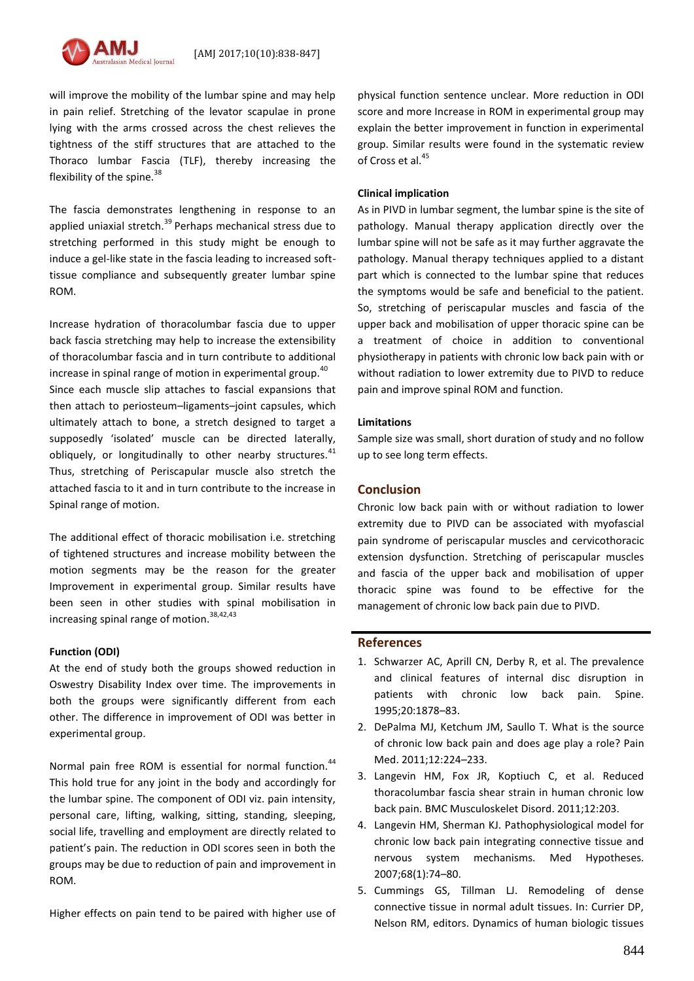

will improve the mobility of the lumbar spine and may help in pain relief. Stretching of the levator scapulae in prone lying with the arms crossed across the chest relieves the tightness of the stiff structures that are attached to the Thoraco lumbar Fascia (TLF), thereby increasing the flexibility of the spine.<sup>38</sup>

The fascia demonstrates lengthening in response to an applied uniaxial stretch. $39$  Perhaps mechanical stress due to stretching performed in this study might be enough to induce a gel-like state in the fascia leading to increased softtissue compliance and subsequently greater lumbar spine ROM.

Increase hydration of thoracolumbar fascia due to upper back fascia stretching may help to increase the extensibility of thoracolumbar fascia and in turn contribute to additional increase in spinal range of motion in experimental group. $40$ Since each muscle slip attaches to fascial expansions that then attach to periosteum–ligaments–joint capsules, which ultimately attach to bone, a stretch designed to target a supposedly 'isolated' muscle can be directed laterally, obliquely, or longitudinally to other nearby structures. $41$ Thus, stretching of Periscapular muscle also stretch the attached fascia to it and in turn contribute to the increase in Spinal range of motion.

The additional effect of thoracic mobilisation i.e. stretching of tightened structures and increase mobility between the motion segments may be the reason for the greater Improvement in experimental group. Similar results have been seen in other studies with spinal mobilisation in increasing spinal range of motion.<sup>38,42,43</sup>

#### **Function (ODI)**

At the end of study both the groups showed reduction in Oswestry Disability Index over time. The improvements in both the groups were significantly different from each other. The difference in improvement of ODI was better in experimental group.

Normal pain free ROM is essential for normal function.<sup>44</sup> This hold true for any joint in the body and accordingly for the lumbar spine. The component of ODI viz. pain intensity, personal care, lifting, walking, sitting, standing, sleeping, social life, travelling and employment are directly related to patient's pain. The reduction in ODI scores seen in both the groups may be due to reduction of pain and improvement in ROM.

Higher effects on pain tend to be paired with higher use of

physical function sentence unclear. More reduction in ODI score and more Increase in ROM in experimental group may explain the better improvement in function in experimental group. Similar results were found in the systematic review of Cross et al. 45

#### **Clinical implication**

As in PIVD in lumbar segment, the lumbar spine is the site of pathology. Manual therapy application directly over the lumbar spine will not be safe as it may further aggravate the pathology. Manual therapy techniques applied to a distant part which is connected to the lumbar spine that reduces the symptoms would be safe and beneficial to the patient. So, stretching of periscapular muscles and fascia of the upper back and mobilisation of upper thoracic spine can be a treatment of choice in addition to conventional physiotherapy in patients with chronic low back pain with or without radiation to lower extremity due to PIVD to reduce pain and improve spinal ROM and function.

### **Limitations**

Sample size was small, short duration of study and no follow up to see long term effects.

## **Conclusion**

Chronic low back pain with or without radiation to lower extremity due to PIVD can be associated with myofascial pain syndrome of periscapular muscles and cervicothoracic extension dysfunction. Stretching of periscapular muscles and fascia of the upper back and mobilisation of upper thoracic spine was found to be effective for the management of chronic low back pain due to PIVD.

### **References**

- 1. Schwarzer AC, Aprill CN, Derby R, et al. The prevalence and clinical features of internal disc disruption in patients with chronic low back pain. Spine. 1995;20:1878–83.
- 2. DePalma MJ, Ketchum JM, Saullo T. What is the source of chronic low back pain and does age play a role? Pain Med. 2011;12:224–233.
- 3. Langevin HM, Fox JR, Koptiuch C, et al. Reduced thoracolumbar fascia shear strain in human chronic low back pain. BMC Musculoskelet Disord. 2011;12:203.
- 4. Langevin HM, Sherman KJ. Pathophysiological model for chronic low back pain integrating connective tissue and nervous system mechanisms. Med Hypotheses. 2007;68(1):74–80.
- 5. Cummings GS, Tillman LJ. Remodeling of dense connective tissue in normal adult tissues. In: Currier DP, Nelson RM, editors. Dynamics of human biologic tissues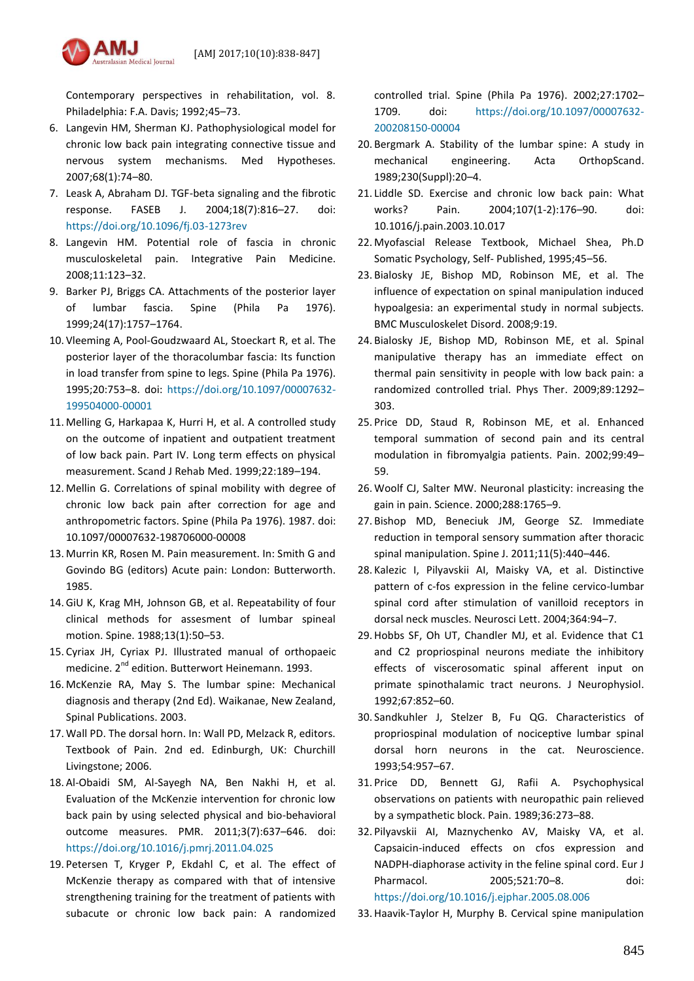

Contemporary perspectives in rehabilitation, vol. 8. Philadelphia: F.A. Davis; 1992;45–73.

- 6. Langevin HM, Sherman KJ. Pathophysiological model for chronic low back pain integrating connective tissue and nervous system mechanisms. Med Hypotheses. 2007;68(1):74–80.
- 7. Leask A, Abraham DJ. TGF-beta signaling and the fibrotic response. FASEB J. 2004;18(7):816–27. doi: <https://doi.org/10.1096/fj.03-1273rev>
- 8. Langevin HM. Potential role of fascia in chronic musculoskeletal pain. Integrative Pain Medicine. 2008;11:123–32.
- 9. Barker PJ, Briggs CA. Attachments of the posterior layer of lumbar fascia. Spine (Phila Pa 1976). 1999;24(17):1757–1764.
- 10. Vleeming A, Pool-Goudzwaard AL, Stoeckart R, et al. The posterior layer of the thoracolumbar fascia: Its function in load transfer from spine to legs. Spine (Phila Pa 1976). 1995;20:753–8. doi: [https://doi.org/10.1097/00007632-](https://doi.org/10.1097/00007632-199504000-00001) [199504000-00001](https://doi.org/10.1097/00007632-199504000-00001)
- 11. Melling G, Harkapaa K, Hurri H, et al. A controlled study on the outcome of inpatient and outpatient treatment of low back pain. Part IV. Long term effects on physical measurement. Scand J Rehab Med. 1999;22:189–194.
- 12. Mellin G. Correlations of spinal mobility with degree of chronic low back pain after correction for age and anthropometric factors. Spine (Phila Pa 1976). 1987. doi: 10.1097/00007632-198706000-00008
- 13. Murrin KR, Rosen M. Pain measurement. In: Smith G and Govindo BG (editors) Acute pain: London: Butterworth. 1985.
- 14.GiU K, Krag MH, Johnson GB, et al. Repeatability of four clinical methods for assesment of lumbar spineal motion. Spine. 1988;13(1):50–53.
- 15. Cyriax JH, Cyriax PJ. Illustrated manual of orthopaeic medicine. 2<sup>nd</sup> edition. Butterwort Heinemann. 1993.
- 16. McKenzie RA, May S. The lumbar spine: Mechanical diagnosis and therapy (2nd Ed). Waikanae, New Zealand, Spinal Publications. 2003.
- 17. Wall PD. The dorsal horn. In: Wall PD, Melzack R, editors. Textbook of Pain. 2nd ed. Edinburgh, UK: Churchill Livingstone; 2006.
- 18. Al-Obaidi SM, Al-Sayegh NA, Ben Nakhi H, et al. Evaluation of the McKenzie intervention for chronic low back pain by using selected physical and bio-behavioral outcome measures. PMR. 2011;3(7):637–646. doi: <https://doi.org/10.1016/j.pmrj.2011.04.025>
- 19. Petersen T, Kryger P, Ekdahl C, et al. The effect of McKenzie therapy as compared with that of intensive strengthening training for the treatment of patients with subacute or chronic low back pain: A randomized

controlled trial. Spine (Phila Pa 1976). 2002;27:1702– 1709. doi: [https://doi.org/10.1097/00007632-](https://doi.org/10.1097/00007632-200208150-00004) [200208150-00004](https://doi.org/10.1097/00007632-200208150-00004)

- 20. Bergmark A. Stability of the lumbar spine: A study in mechanical engineering. Acta OrthopScand. 1989;230(Suppl):20–4.
- 21. Liddle SD. Exercise and chronic low back pain: What works? Pain. 2004;107(1-2):176–90. doi: 10.1016/j.pain.2003.10.017
- 22. Myofascial Release Textbook, Michael Shea, Ph.D Somatic Psychology, Self- Published, 1995;45–56.
- 23. Bialosky JE, Bishop MD, Robinson ME, et al. The influence of expectation on spinal manipulation induced hypoalgesia: an experimental study in normal subjects. BMC Musculoskelet Disord. 2008;9:19.
- 24. Bialosky JE, Bishop MD, Robinson ME, et al. Spinal manipulative therapy has an immediate effect on thermal pain sensitivity in people with low back pain: a randomized controlled trial. Phys Ther. 2009;89:1292– 303.
- 25. Price DD, Staud R, Robinson ME, et al. Enhanced temporal summation of second pain and its central modulation in fibromyalgia patients. Pain. 2002;99:49– 59.
- 26. Woolf CJ, Salter MW. Neuronal plasticity: increasing the gain in pain. Science. 2000;288:1765–9.
- 27. Bishop MD, Beneciuk JM, George SZ. Immediate reduction in temporal sensory summation after thoracic spinal manipulation. Spine J. 2011;11(5):440–446.
- 28. Kalezic I, Pilyavskii AI, Maisky VA, et al. Distinctive pattern of c-fos expression in the feline cervico-lumbar spinal cord after stimulation of vanilloid receptors in dorsal neck muscles. Neurosci Lett. 2004;364:94–7.
- 29. Hobbs SF, Oh UT, Chandler MJ, et al. Evidence that C1 and C2 propriospinal neurons mediate the inhibitory effects of viscerosomatic spinal afferent input on primate spinothalamic tract neurons. J Neurophysiol. 1992;67:852–60.
- 30. Sandkuhler J, Stelzer B, Fu QG. Characteristics of propriospinal modulation of nociceptive lumbar spinal dorsal horn neurons in the cat. Neuroscience. 1993;54:957–67.
- 31. Price DD, Bennett GJ, Rafii A. Psychophysical observations on patients with neuropathic pain relieved by a sympathetic block. Pain. 1989;36:273–88.
- 32. Pilyavskii AI, Maznychenko AV, Maisky VA, et al. Capsaicin-induced effects on cfos expression and NADPH-diaphorase activity in the feline spinal cord. Eur J Pharmacol. 2005;521:70–8. doi: <https://doi.org/10.1016/j.ejphar.2005.08.006>
- 33. Haavik-Taylor H, Murphy B. Cervical spine manipulation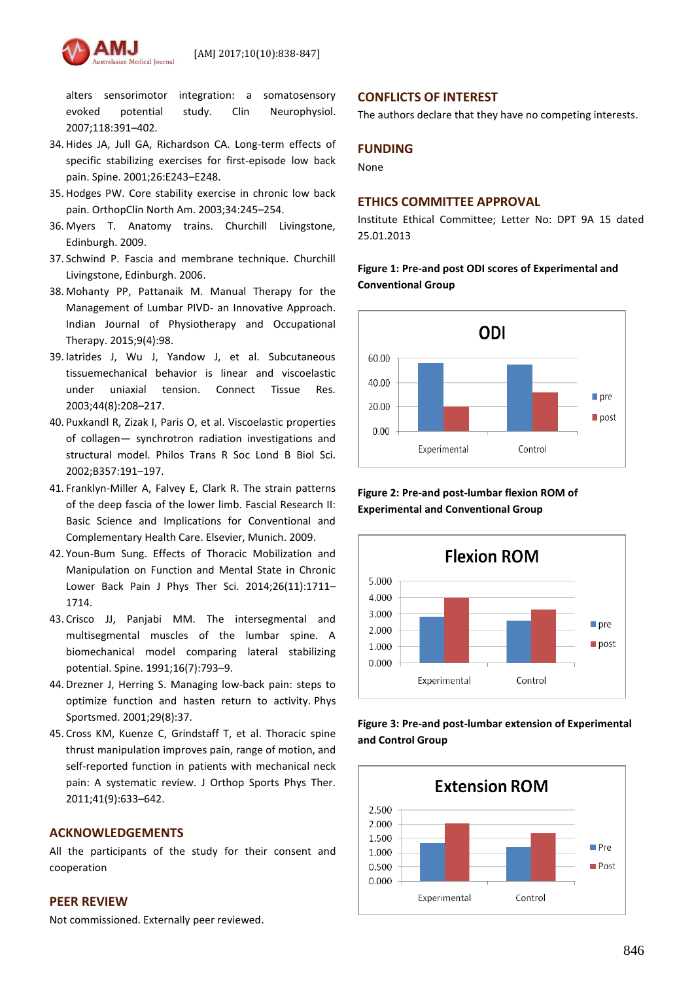

alters sensorimotor integration: a somatosensory evoked potential study. Clin Neurophysiol. 2007;118:391–402.

- 34. Hides JA, Jull GA, Richardson CA. Long-term effects of specific stabilizing exercises for first-episode low back pain. Spine. 2001;26:E243–E248.
- 35. Hodges PW. Core stability exercise in chronic low back pain. OrthopClin North Am. 2003;34:245–254.
- 36. Myers T. Anatomy trains. Churchill Livingstone, Edinburgh. 2009.
- 37. Schwind P. Fascia and membrane technique. Churchill Livingstone, Edinburgh. 2006.
- 38. Mohanty PP, Pattanaik M. Manual Therapy for the Management of Lumbar PIVD- an Innovative Approach. Indian Journal of Physiotherapy and Occupational Therapy. 2015;9(4):98.
- 39. Iatrides J, Wu J, Yandow J, et al. Subcutaneous tissuemechanical behavior is linear and viscoelastic under uniaxial tension. Connect Tissue Res. 2003;44(8):208–217.
- 40. Puxkandl R, Zizak I, Paris O, et al. Viscoelastic properties of collagen— synchrotron radiation investigations and structural model. Philos Trans R Soc Lond B Biol Sci. 2002;B357:191–197.
- 41. Franklyn-Miller A, Falvey E, Clark R. The strain patterns of the deep fascia of the lower limb. Fascial Research II: Basic Science and Implications for Conventional and Complementary Health Care. Elsevier, Munich. 2009.
- 42. Youn-Bum Sung. Effects of Thoracic Mobilization and Manipulation on Function and Mental State in Chronic Lower Back Pain J Phys Ther Sci. 2014;26(11):1711– 1714.
- 43. Crisco JJ, Panjabi MM. The intersegmental and multisegmental muscles of the lumbar spine. A biomechanical model comparing lateral stabilizing potential. Spine. 1991;16(7):793–9.
- 44. Drezner J, Herring S. Managing low-back pain: steps to optimize function and hasten return to activity. Phys Sportsmed. 2001;29(8):37.
- 45. Cross KM, Kuenze C, Grindstaff T, et al. Thoracic spine thrust manipulation improves pain, range of motion, and self-reported function in patients with mechanical neck pain: A systematic review. J Orthop Sports Phys Ther. 2011;41(9):633–642.

## **ACKNOWLEDGEMENTS**

All the participants of the study for their consent and cooperation

## **PEER REVIEW**

Not commissioned. Externally peer reviewed.

## **CONFLICTS OF INTEREST**

The authors declare that they have no competing interests.

## **FUNDING**

None

## **ETHICS COMMITTEE APPROVAL**

Institute Ethical Committee; Letter No: DPT 9A 15 dated 25.01.2013

## **Figure 1: Pre-and post ODI scores of Experimental and Conventional Group**



**Figure 2: Pre-and post-lumbar flexion ROM of Experimental and Conventional Group**



## **Figure 3: Pre-and post-lumbar extension of Experimental and Control Group**